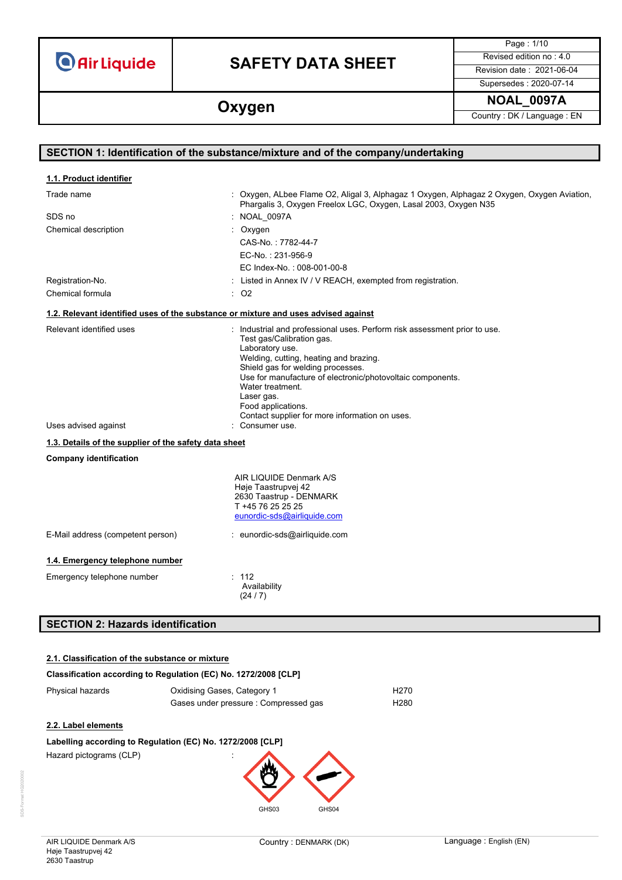**Air Liquide** 

## **SAFETY DATA SHEET** Revised edition no : 4.0

Page : 1/10

Supersedes : 2020-07-14 **Oxygen Country**: DK / Language : EN

|                                                                                    | SECTION 1: Identification of the substance/mixture and of the company/undertaking                                                                                                                                                                                                                                                                                                |
|------------------------------------------------------------------------------------|----------------------------------------------------------------------------------------------------------------------------------------------------------------------------------------------------------------------------------------------------------------------------------------------------------------------------------------------------------------------------------|
|                                                                                    |                                                                                                                                                                                                                                                                                                                                                                                  |
| 1.1. Product identifier                                                            |                                                                                                                                                                                                                                                                                                                                                                                  |
| Trade name                                                                         | : Oxygen, ALbee Flame O2, Aligal 3, Alphagaz 1 Oxygen, Alphagaz 2 Oxygen, Oxygen Aviation,<br>Phargalis 3, Oxygen Freelox LGC, Oxygen, Lasal 2003, Oxygen N35                                                                                                                                                                                                                    |
| SDS no                                                                             | : NOAL_0097A                                                                                                                                                                                                                                                                                                                                                                     |
| Chemical description                                                               | : $Oxygen$                                                                                                                                                                                                                                                                                                                                                                       |
|                                                                                    | CAS-No.: 7782-44-7                                                                                                                                                                                                                                                                                                                                                               |
|                                                                                    | EC-No.: 231-956-9                                                                                                                                                                                                                                                                                                                                                                |
|                                                                                    | EC Index-No.: 008-001-00-8                                                                                                                                                                                                                                                                                                                                                       |
| Registration-No.                                                                   | Listed in Annex IV / V REACH, exempted from registration.                                                                                                                                                                                                                                                                                                                        |
| Chemical formula                                                                   | ÷<br>O2                                                                                                                                                                                                                                                                                                                                                                          |
| 1.2. Relevant identified uses of the substance or mixture and uses advised against |                                                                                                                                                                                                                                                                                                                                                                                  |
| Relevant identified uses                                                           | : Industrial and professional uses. Perform risk assessment prior to use.<br>Test gas/Calibration gas.<br>Laboratory use.<br>Welding, cutting, heating and brazing.<br>Shield gas for welding processes.<br>Use for manufacture of electronic/photovoltaic components.<br>Water treatment.<br>Laser gas.<br>Food applications.<br>Contact supplier for more information on uses. |
| Uses advised against                                                               | : Consumer use.                                                                                                                                                                                                                                                                                                                                                                  |
| 1.3. Details of the supplier of the safety data sheet                              |                                                                                                                                                                                                                                                                                                                                                                                  |
| <b>Company identification</b>                                                      |                                                                                                                                                                                                                                                                                                                                                                                  |
|                                                                                    | AIR LIQUIDE Denmark A/S<br>Høje Taastrupvej 42<br>2630 Taastrup - DENMARK<br>T +45 76 25 25 25<br>eunordic-sds@airliquide.com                                                                                                                                                                                                                                                    |
| E-Mail address (competent person)                                                  | : eunordic-sds@airliquide.com                                                                                                                                                                                                                                                                                                                                                    |
| 1.4. Emergency telephone number                                                    |                                                                                                                                                                                                                                                                                                                                                                                  |
| Emergency telephone number                                                         | : 112<br>Availability<br>(24/7)                                                                                                                                                                                                                                                                                                                                                  |

### **SECTION 2: Hazards identification**

### **2.1. Classification of the substance or mixture**

| Classification according to Regulation (EC) No. 1272/2008 [CLP] |                                                            |      |  |
|-----------------------------------------------------------------|------------------------------------------------------------|------|--|
| Physical hazards                                                | Oxidising Gases, Category 1                                | H270 |  |
|                                                                 | Gases under pressure : Compressed gas                      | H280 |  |
| 2.2. Label elements                                             |                                                            |      |  |
|                                                                 | Labelling according to Regulation (EC) No. 1272/2008 [CLP] |      |  |

Hazard pictograms (CLP) in the set of the set of the set of the set of the set of the set of the set of the set of the set of the set of the set of the set of the set of the set of the set of the set of the set of the set

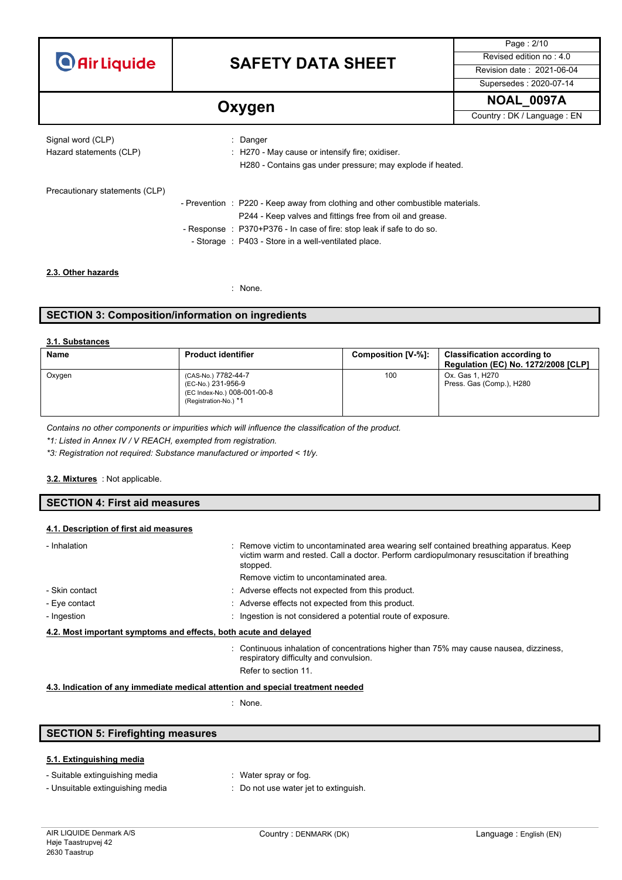**O** Air Liquide

### **SAFETY DATA SHEET** Revised edition no : 4.0

Page : 2/10 Supersedes : 2020-07-14

# **Oxygen Country**: DK / Language : EN

| Signal word (CLP)<br>Hazard statements (CLP) | $\therefore$ Danger<br>: H270 - May cause or intensify fire; oxidiser.<br>H280 - Contains gas under pressure; may explode if heated.        |
|----------------------------------------------|---------------------------------------------------------------------------------------------------------------------------------------------|
| Precautionary statements (CLP)               |                                                                                                                                             |
|                                              | - Prevention : P220 - Keep away from clothing and other combustible materials.<br>P244 - Keep valves and fittings free from oil and grease. |
|                                              | - Response : P370+P376 - In case of fire: stop leak if safe to do so.                                                                       |
|                                              | - Storage : P403 - Store in a well-ventilated place.                                                                                        |
|                                              |                                                                                                                                             |

#### **2.3. Other hazards**

: None.

#### **SECTION 3: Composition/information on ingredients**

#### **3.1. Substances**

| Name   | <b>Product identifier</b>                                                                         | Composition [V-%]: | <b>Classification according to</b><br><b>Regulation (EC) No. 1272/2008 [CLP]</b> |
|--------|---------------------------------------------------------------------------------------------------|--------------------|----------------------------------------------------------------------------------|
| Oxygen | (CAS-No.) 7782-44-7<br>(EC-No.) 231-956-9<br>(EC Index-No.) 008-001-00-8<br>(Registration-No.) *1 | 100                | Ox. Gas 1, H270<br>Press. Gas (Comp.), H280                                      |

*Contains no other components or impurities which will influence the classification of the product.*

*\*1: Listed in Annex IV / V REACH, exempted from registration.*

*\*3: Registration not required: Substance manufactured or imported < 1t/y.*

#### : Not applicable. **3.2. Mixtures**

# **SECTION 4: First aid measures**

#### **4.1. Description of first aid measures**

| - Inhalation                                                     | : Remove victim to uncontaminated area wearing self contained breathing apparatus. Keep<br>victim warm and rested. Call a doctor. Perform cardiopulmonary resuscitation if breathing<br>stopped.<br>Remove victim to uncontaminated area. |
|------------------------------------------------------------------|-------------------------------------------------------------------------------------------------------------------------------------------------------------------------------------------------------------------------------------------|
| - Skin contact                                                   | : Adverse effects not expected from this product.                                                                                                                                                                                         |
| - Eye contact                                                    | : Adverse effects not expected from this product.                                                                                                                                                                                         |
| - Ingestion                                                      | : Ingestion is not considered a potential route of exposure.                                                                                                                                                                              |
| 4.2. Most important symptoms and effects, both acute and delayed |                                                                                                                                                                                                                                           |
|                                                                  | : Continuous inhalation of concentrations higher than 75% may cause nausea, dizziness,<br>respiratory difficulty and convulsion.<br>Refer to section 11.                                                                                  |

#### **4.3. Indication of any immediate medical attention and special treatment needed**

: None.

#### **SECTION 5: Firefighting measures**

#### **5.1. Extinguishing media**

| - Suitable extinguishing media |  |  |
|--------------------------------|--|--|
|--------------------------------|--|--|

- 
- : Water spray or fog.
- Unsuitable extinguishing media : Do not use water jet to extinguish.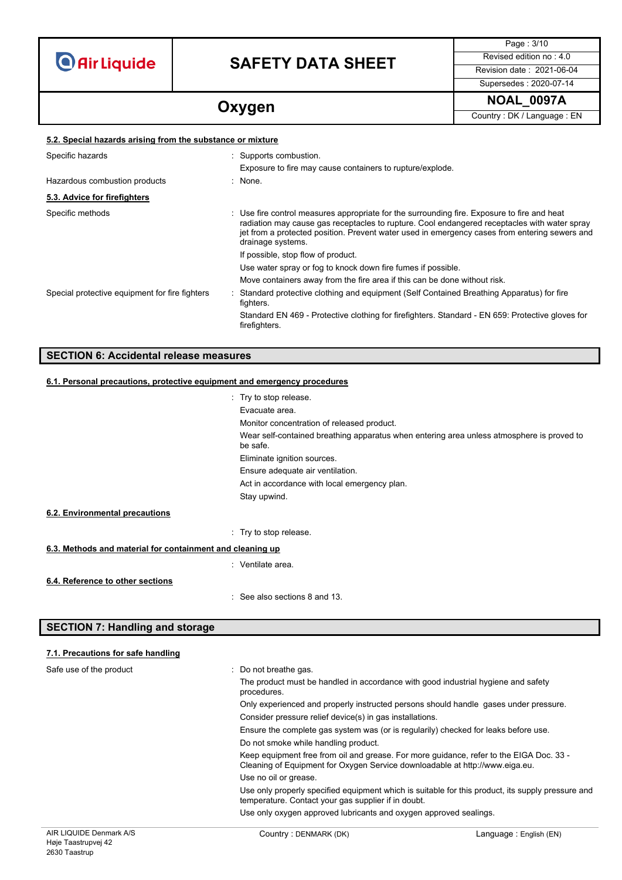**O** Air Liquide

## **SAFETY DATA SHEET** Revised edition no : 4.0

Page : 3/10 Supersedes : 2020-07-14

**Oxygen Country**: DK / Language : EN

| 5.2. Special hazards arising from the substance or mixture                                                                                                                                                                                                                                                        |
|-------------------------------------------------------------------------------------------------------------------------------------------------------------------------------------------------------------------------------------------------------------------------------------------------------------------|
| : Supports combustion.                                                                                                                                                                                                                                                                                            |
| Exposure to fire may cause containers to rupture/explode.                                                                                                                                                                                                                                                         |
| : None.                                                                                                                                                                                                                                                                                                           |
|                                                                                                                                                                                                                                                                                                                   |
| : Use fire control measures appropriate for the surrounding fire. Exposure to fire and heat<br>radiation may cause gas receptacles to rupture. Cool endangered receptacles with water spray<br>jet from a protected position. Prevent water used in emergency cases from entering sewers and<br>drainage systems. |
| If possible, stop flow of product.                                                                                                                                                                                                                                                                                |
| Use water spray or fog to knock down fire fumes if possible.                                                                                                                                                                                                                                                      |
| Move containers away from the fire area if this can be done without risk.                                                                                                                                                                                                                                         |
| Standard protective clothing and equipment (Self Contained Breathing Apparatus) for fire<br>fighters.                                                                                                                                                                                                             |
| Standard EN 469 - Protective clothing for firefighters. Standard - EN 659: Protective gloves for<br>firefighters.                                                                                                                                                                                                 |
|                                                                                                                                                                                                                                                                                                                   |

#### **SECTION 6: Accidental release measures**

| 6.1. Personal precautions, protective equipment and emergency procedures |                                                                                                       |
|--------------------------------------------------------------------------|-------------------------------------------------------------------------------------------------------|
|                                                                          | : Try to stop release.                                                                                |
|                                                                          | Evacuate area.                                                                                        |
|                                                                          | Monitor concentration of released product.                                                            |
|                                                                          | Wear self-contained breathing apparatus when entering area unless atmosphere is proved to<br>be safe. |
|                                                                          | Eliminate ignition sources.                                                                           |
|                                                                          | Ensure adequate air ventilation.                                                                      |
|                                                                          | Act in accordance with local emergency plan.                                                          |
|                                                                          | Stay upwind.                                                                                          |
| 6.2. Environmental precautions                                           |                                                                                                       |
|                                                                          | : Try to stop release.                                                                                |
| 6.3. Methods and material for containment and cleaning up                |                                                                                                       |
|                                                                          | : Ventilate area.                                                                                     |
| 6.4. Reference to other sections                                         |                                                                                                       |
|                                                                          | : See also sections 8 and 13.                                                                         |

### **SECTION 7: Handling and storage**

#### **7.1. Precautions for safe handling**

| Safe use of the product | Do not breathe gas.                                                                                                                                                     |                                                                                                   |
|-------------------------|-------------------------------------------------------------------------------------------------------------------------------------------------------------------------|---------------------------------------------------------------------------------------------------|
|                         | The product must be handled in accordance with good industrial hygiene and safety<br>procedures.                                                                        |                                                                                                   |
|                         | Only experienced and properly instructed persons should handle gases under pressure.                                                                                    |                                                                                                   |
|                         | Consider pressure relief device(s) in gas installations.                                                                                                                |                                                                                                   |
|                         | Ensure the complete gas system was (or is regularily) checked for leaks before use.                                                                                     |                                                                                                   |
|                         | Do not smoke while handling product.                                                                                                                                    |                                                                                                   |
|                         | Keep equipment free from oil and grease. For more quidance, refer to the EIGA Doc. 33 -<br>Cleaning of Equipment for Oxygen Service downloadable at http://www.eiga.eu. |                                                                                                   |
|                         | Use no oil or grease.                                                                                                                                                   |                                                                                                   |
|                         | temperature. Contact your gas supplier if in doubt.                                                                                                                     | Use only properly specified equipment which is suitable for this product, its supply pressure and |
|                         | Use only oxygen approved lubricants and oxygen approved sealings.                                                                                                       |                                                                                                   |
| $AD$ $D$                |                                                                                                                                                                         |                                                                                                   |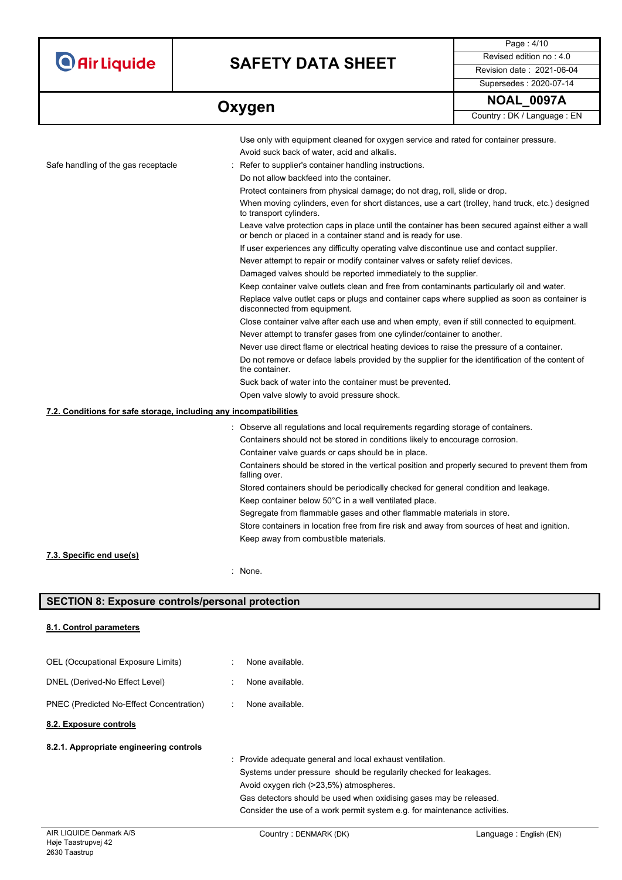**O** Air Liquide

## **SAFETY DATA SHEET** Revised edition no : 4.0

Page : 4/10 Supersedes : 2020-07-14

|                                                                   | Use only with equipment cleaned for oxygen service and rated for container pressure.                                                                             |
|-------------------------------------------------------------------|------------------------------------------------------------------------------------------------------------------------------------------------------------------|
|                                                                   | Avoid suck back of water, acid and alkalis.                                                                                                                      |
| Safe handling of the gas receptacle                               | Refer to supplier's container handling instructions.                                                                                                             |
|                                                                   | Do not allow backfeed into the container.                                                                                                                        |
|                                                                   | Protect containers from physical damage; do not drag, roll, slide or drop.                                                                                       |
|                                                                   | When moving cylinders, even for short distances, use a cart (trolley, hand truck, etc.) designed<br>to transport cylinders.                                      |
|                                                                   | Leave valve protection caps in place until the container has been secured against either a wall<br>or bench or placed in a container stand and is ready for use. |
|                                                                   | If user experiences any difficulty operating valve discontinue use and contact supplier.                                                                         |
|                                                                   | Never attempt to repair or modify container valves or safety relief devices.                                                                                     |
|                                                                   | Damaged valves should be reported immediately to the supplier.                                                                                                   |
|                                                                   | Keep container valve outlets clean and free from contaminants particularly oil and water.                                                                        |
|                                                                   | Replace valve outlet caps or plugs and container caps where supplied as soon as container is<br>disconnected from equipment.                                     |
|                                                                   | Close container valve after each use and when empty, even if still connected to equipment.                                                                       |
|                                                                   | Never attempt to transfer gases from one cylinder/container to another.                                                                                          |
|                                                                   | Never use direct flame or electrical heating devices to raise the pressure of a container.                                                                       |
|                                                                   | Do not remove or deface labels provided by the supplier for the identification of the content of<br>the container.                                               |
|                                                                   | Suck back of water into the container must be prevented.                                                                                                         |
|                                                                   | Open valve slowly to avoid pressure shock.                                                                                                                       |
| 7.2. Conditions for safe storage, including any incompatibilities |                                                                                                                                                                  |
|                                                                   | : Observe all regulations and local requirements regarding storage of containers.                                                                                |
|                                                                   | Containers should not be stored in conditions likely to encourage corrosion.                                                                                     |
|                                                                   | Container valve guards or caps should be in place.                                                                                                               |
|                                                                   | Containers should be stored in the vertical position and properly secured to prevent them from<br>falling over.                                                  |
|                                                                   | Stored containers should be periodically checked for general condition and leakage.                                                                              |
|                                                                   | Keep container below 50°C in a well ventilated place.                                                                                                            |
|                                                                   | Segregate from flammable gases and other flammable materials in store.                                                                                           |
|                                                                   | Store containers in location free from fire risk and away from sources of heat and ignition.                                                                     |
|                                                                   | Keep away from combustible materials.                                                                                                                            |
| 7.3. Specific end use(s)                                          |                                                                                                                                                                  |
|                                                                   | None.                                                                                                                                                            |

### **SECTION 8: Exposure controls/personal protection**

#### **8.1. Control parameters**

| AIR LIQUIDE Denmark A/S                  | Country: DENMARK (DK)                                                     | Language: English (EN) |
|------------------------------------------|---------------------------------------------------------------------------|------------------------|
|                                          | Consider the use of a work permit system e.g. for maintenance activities. |                        |
|                                          | Gas detectors should be used when oxidising gases may be released.        |                        |
|                                          | Avoid oxygen rich (>23,5%) atmospheres.                                   |                        |
|                                          | Systems under pressure should be regularily checked for leakages.         |                        |
|                                          | : Provide adequate general and local exhaust ventilation.                 |                        |
| 8.2.1. Appropriate engineering controls  |                                                                           |                        |
| 8.2. Exposure controls                   |                                                                           |                        |
|                                          |                                                                           |                        |
| PNEC (Predicted No-Effect Concentration) | None available.                                                           |                        |
| DNEL (Derived-No Effect Level)           | None available.                                                           |                        |
| OEL (Occupational Exposure Limits)       | None available.                                                           |                        |
|                                          |                                                                           |                        |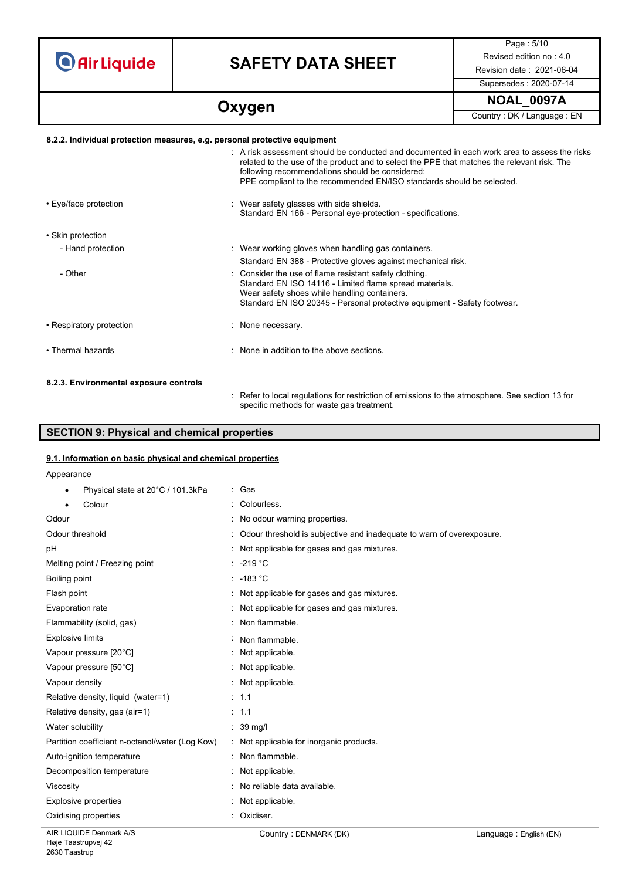**Air Liquide** 

## **SAFETY DATA SHEET** Revised edition no : 4.0

Supersedes : 2020-07-14

Page : 5/10

**Oxygen Country**: DK / Language : EN

#### **8.2.2. Individual protection measures, e.g. personal protective equipment**

|                                        | $\therefore$ A risk assessment should be conducted and documented in each work area to assess the risks<br>related to the use of the product and to select the PPE that matches the relevant risk. The<br>following recommendations should be considered:<br>PPE compliant to the recommended EN/ISO standards should be selected. |
|----------------------------------------|------------------------------------------------------------------------------------------------------------------------------------------------------------------------------------------------------------------------------------------------------------------------------------------------------------------------------------|
| • Eye/face protection                  | : Wear safety glasses with side shields.<br>Standard EN 166 - Personal eye-protection - specifications.                                                                                                                                                                                                                            |
| • Skin protection                      |                                                                                                                                                                                                                                                                                                                                    |
| - Hand protection                      | : Wear working gloves when handling gas containers.<br>Standard EN 388 - Protective gloves against mechanical risk.                                                                                                                                                                                                                |
| - Other                                | Consider the use of flame resistant safety clothing.<br>Standard EN ISO 14116 - Limited flame spread materials.<br>Wear safety shoes while handling containers.<br>Standard EN ISO 20345 - Personal protective equipment - Safety footwear.                                                                                        |
| • Respiratory protection               | None necessary.                                                                                                                                                                                                                                                                                                                    |
| • Thermal hazards                      | : None in addition to the above sections.                                                                                                                                                                                                                                                                                          |
| 8.2.3. Environmental exposure controls | Refer to local regulations for restriction of emissions to the atmosphere. See section 13 for                                                                                                                                                                                                                                      |

specific methods for waste gas treatment.

### **SECTION 9: Physical and chemical properties**

#### **9.1. Information on basic physical and chemical properties**

Appearance

| $\bullet$               | Physical state at 20°C / 101.3kPa               | : Gas                                                                 |
|-------------------------|-------------------------------------------------|-----------------------------------------------------------------------|
|                         | Colour                                          | Colourless.                                                           |
| Odour                   |                                                 | No odour warning properties.                                          |
| Odour threshold         |                                                 | Odour threshold is subjective and inadequate to warn of overexposure. |
| pH                      |                                                 | Not applicable for gases and gas mixtures.                            |
|                         | Melting point / Freezing point                  | $: -219 °C$                                                           |
| Boiling point           |                                                 | $: -183 °C$                                                           |
| Flash point             |                                                 | Not applicable for gases and gas mixtures.                            |
| Evaporation rate        |                                                 | Not applicable for gases and gas mixtures.                            |
|                         | Flammability (solid, gas)                       | Non flammable.                                                        |
| <b>Explosive limits</b> |                                                 | Non flammable.                                                        |
|                         | Vapour pressure [20°C]                          | Not applicable.                                                       |
|                         | Vapour pressure [50°C]                          | : Not applicable.                                                     |
| Vapour density          |                                                 | Not applicable.                                                       |
|                         | Relative density, liquid (water=1)              | : 1.1                                                                 |
|                         | Relative density, gas (air=1)                   | : 1.1                                                                 |
| Water solubility        |                                                 | $\therefore$ 39 mg/                                                   |
|                         | Partition coefficient n-octanol/water (Log Kow) | : Not applicable for inorganic products.                              |
|                         | Auto-ignition temperature                       | Non flammable.                                                        |
|                         | Decomposition temperature                       | Not applicable.                                                       |
| Viscosity               |                                                 | No reliable data available.                                           |
|                         | <b>Explosive properties</b>                     | Not applicable.                                                       |
| Oxidising properties    |                                                 | Oxidiser.                                                             |
|                         |                                                 |                                                                       |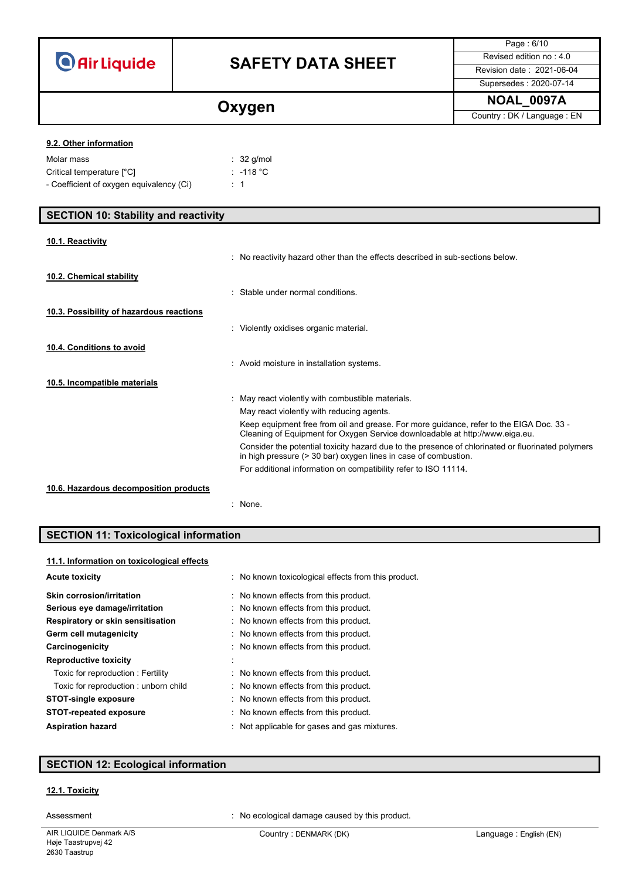**Air Liquide** 

## **SAFETY DATA SHEET** Revised edition no : 4.0

Page : 6/10

Supersedes : 2020-07-14

**Oxygen Country**: DK / Language : EN

#### Molar mass  $\qquad \qquad : 32 \text{ g/mol}$ Critical temperature [°C] : -118 °C - Coefficient of oxygen equivalency (Ci) : 1 **9.2. Other information**

### **SECTION 10: Stability and reactivity**

#### **10.1. Reactivity**

|                                          | : No reactivity hazard other than the effects described in sub-sections below.                                                                                          |
|------------------------------------------|-------------------------------------------------------------------------------------------------------------------------------------------------------------------------|
| 10.2. Chemical stability                 |                                                                                                                                                                         |
|                                          | Stable under normal conditions                                                                                                                                          |
| 10.3. Possibility of hazardous reactions |                                                                                                                                                                         |
|                                          | Violently oxidises organic material.                                                                                                                                    |
| 10.4. Conditions to avoid                |                                                                                                                                                                         |
|                                          | : Avoid moisture in installation systems.                                                                                                                               |
| 10.5. Incompatible materials             |                                                                                                                                                                         |
|                                          | May react violently with combustible materials.                                                                                                                         |
|                                          | May react violently with reducing agents.                                                                                                                               |
|                                          | Keep equipment free from oil and grease. For more guidance, refer to the EIGA Doc. 33 -<br>Cleaning of Equipment for Oxygen Service downloadable at http://www.eiga.eu. |
|                                          | Consider the potential toxicity hazard due to the presence of chlorinated or fluorinated polymers<br>in high pressure (> 30 bar) oxygen lines in case of combustion.    |
|                                          | For additional information on compatibility refer to ISO 11114.                                                                                                         |
| 10.6. Hazardous decomposition products   |                                                                                                                                                                         |

#### : None.

#### **SECTION 11: Toxicological information**

#### **11.1. Information on toxicological effects**

| : No known toxicological effects from this product. |
|-----------------------------------------------------|
|                                                     |
|                                                     |
|                                                     |
|                                                     |
|                                                     |
|                                                     |
|                                                     |
|                                                     |
|                                                     |
|                                                     |
|                                                     |
|                                                     |

#### **SECTION 12: Ecological information**

#### **12.1. Toxicity**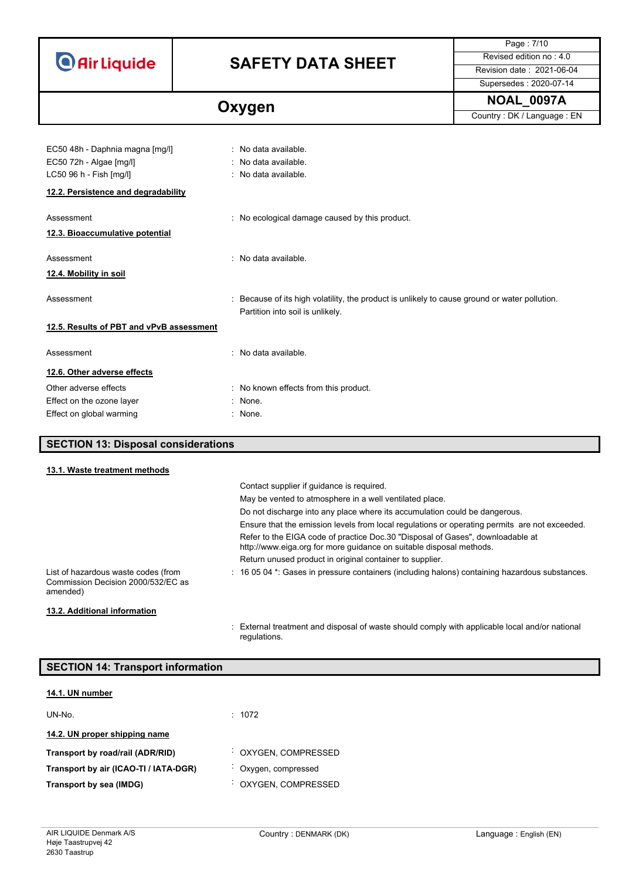|                                          |                                                                                               | Page: 7/10                 |
|------------------------------------------|-----------------------------------------------------------------------------------------------|----------------------------|
| <b>Air Liquide</b>                       | <b>SAFETY DATA SHEET</b>                                                                      | Revised edition no: 4.0    |
|                                          |                                                                                               | Revision date: 2021-06-04  |
|                                          |                                                                                               | Supersedes: 2020-07-14     |
|                                          | Oxygen                                                                                        | <b>NOAL_0097A</b>          |
|                                          |                                                                                               | Country: DK / Language: EN |
|                                          |                                                                                               |                            |
| EC50 48h - Daphnia magna [mg/l]          | : No data available.                                                                          |                            |
| EC50 72h - Algae [mg/l]                  | : No data available.                                                                          |                            |
| LC50 96 h - Fish [mg/l]                  | : No data available.                                                                          |                            |
| 12.2. Persistence and degradability      |                                                                                               |                            |
|                                          |                                                                                               |                            |
| Assessment                               | : No ecological damage caused by this product.                                                |                            |
| 12.3. Bioaccumulative potential          |                                                                                               |                            |
|                                          |                                                                                               |                            |
| Assessment                               | : No data available.                                                                          |                            |
| 12.4. Mobility in soil                   |                                                                                               |                            |
|                                          |                                                                                               |                            |
| Assessment                               | : Because of its high volatility, the product is unlikely to cause ground or water pollution. |                            |
|                                          | Partition into soil is unlikely.                                                              |                            |
| 12.5. Results of PBT and vPvB assessment |                                                                                               |                            |
|                                          |                                                                                               |                            |
| Assessment                               | : No data available.                                                                          |                            |
| 12.6. Other adverse effects              |                                                                                               |                            |
| Other adverse effects                    | : No known effects from this product.                                                         |                            |
| Effect on the ozone layer                | : None.                                                                                       |                            |
| Effect on global warming                 | : None.                                                                                       |                            |
|                                          |                                                                                               |                            |

### **SECTION 13: Disposal considerations**

| 13.1. Waste treatment methods                                                         |                                                                                                                                                       |
|---------------------------------------------------------------------------------------|-------------------------------------------------------------------------------------------------------------------------------------------------------|
|                                                                                       | Contact supplier if quidance is required.                                                                                                             |
|                                                                                       | May be vented to atmosphere in a well ventilated place.                                                                                               |
|                                                                                       | Do not discharge into any place where its accumulation could be dangerous.                                                                            |
|                                                                                       | Ensure that the emission levels from local regulations or operating permits are not exceeded.                                                         |
|                                                                                       | Refer to the EIGA code of practice Doc.30 "Disposal of Gases", downloadable at<br>http://www.eiga.org for more guidance on suitable disposal methods. |
|                                                                                       | Return unused product in original container to supplier.                                                                                              |
| List of hazardous waste codes (from<br>Commission Decision 2000/532/EC as<br>amended) | : 16 05 04 *: Gases in pressure containers (including halons) containing hazardous substances.                                                        |
| 13.2. Additional information                                                          |                                                                                                                                                       |
|                                                                                       | External treatment and disposal of waste should comply with applicable local and/or pational                                                          |

ment and disposal of waste should comply with applicable local and/or national External trea<br>regulations.

| <b>SECTION 14: Transport information</b> |                              |  |  |  |
|------------------------------------------|------------------------------|--|--|--|
| 14.1. UN number                          |                              |  |  |  |
| UN-No.                                   | : 1072                       |  |  |  |
| 14.2. UN proper shipping name            |                              |  |  |  |
| Transport by road/rail (ADR/RID)         | OXYGEN, COMPRESSED           |  |  |  |
| Transport by air (ICAO-TI / IATA-DGR)    | Oxygen, compressed           |  |  |  |
| Transport by sea (IMDG)                  | OXYGEN, COMPRESSED<br>$\sim$ |  |  |  |
|                                          |                              |  |  |  |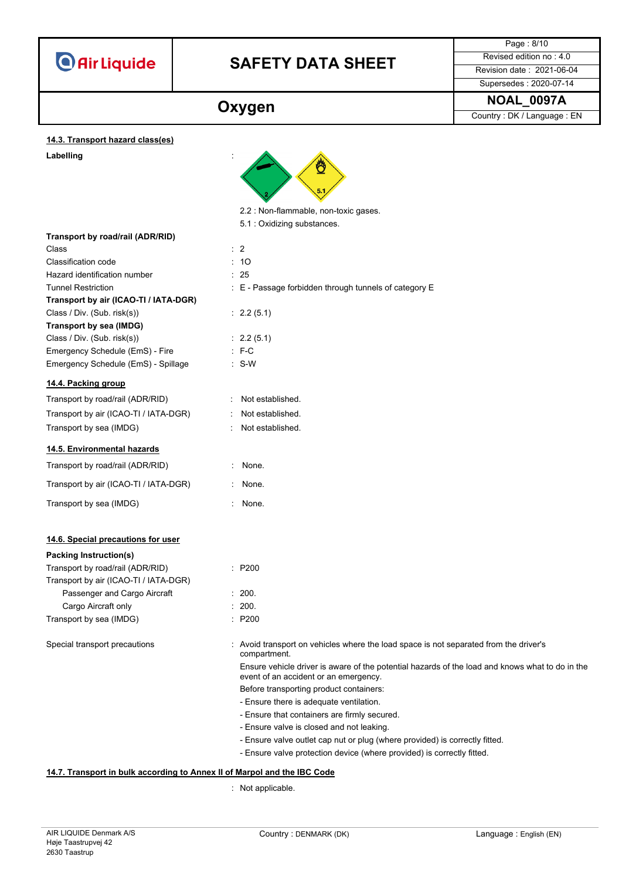

## **SAFETY DATA SHEET** Revised edition no : 4.0

Page : 8/10 Supersedes : 2020-07-14

| Oxygen | <b>NOAL 0097A</b>          |
|--------|----------------------------|
|        | Country: DK / Language: EN |

#### **14.3. Transport hazard class(es)**

Labelling



2.2 : Non-flammable, non-toxic gases. 5.1 : Oxidizing substances.

| Transport by road/rail (ADR/RID)      |                                                                                                                                          |
|---------------------------------------|------------------------------------------------------------------------------------------------------------------------------------------|
| Class                                 | : 2                                                                                                                                      |
| <b>Classification code</b>            | : 10                                                                                                                                     |
| Hazard identification number          | : 25                                                                                                                                     |
| <b>Tunnel Restriction</b>             | $\pm$ E - Passage forbidden through tunnels of category E                                                                                |
| Transport by air (ICAO-TI / IATA-DGR) |                                                                                                                                          |
| Class / Div. (Sub. risk(s))           | : 2.2(5.1)                                                                                                                               |
| <b>Transport by sea (IMDG)</b>        |                                                                                                                                          |
| Class / Div. (Sub. risk(s))           | : 2.2(5.1)                                                                                                                               |
| Emergency Schedule (EmS) - Fire       | $: F-C$                                                                                                                                  |
| Emergency Schedule (EmS) - Spillage   | $: S-W$                                                                                                                                  |
| 14.4. Packing group                   |                                                                                                                                          |
| Transport by road/rail (ADR/RID)      | Not established.                                                                                                                         |
| Transport by air (ICAO-TI / IATA-DGR) | Not established.                                                                                                                         |
| Transport by sea (IMDG)               | Not established.                                                                                                                         |
| 14.5. Environmental hazards           |                                                                                                                                          |
| Transport by road/rail (ADR/RID)      | : None.                                                                                                                                  |
| Transport by air (ICAO-TI / IATA-DGR) | None.                                                                                                                                    |
| Transport by sea (IMDG)               | : None.                                                                                                                                  |
| 14.6. Special precautions for user    |                                                                                                                                          |
|                                       |                                                                                                                                          |
| <b>Packing Instruction(s)</b>         |                                                                                                                                          |
| Transport by road/rail (ADR/RID)      | : P200                                                                                                                                   |
| Transport by air (ICAO-TI / IATA-DGR) |                                                                                                                                          |
| Passenger and Cargo Aircraft          | : 200.                                                                                                                                   |
| Cargo Aircraft only                   | : 200.                                                                                                                                   |
| Transport by sea (IMDG)               | : P200                                                                                                                                   |
| Special transport precautions         | : Avoid transport on vehicles where the load space is not separated from the driver's<br>compartment.                                    |
|                                       | Ensure vehicle driver is aware of the potential hazards of the load and knows what to do in the<br>event of an accident or an emergency. |
|                                       | Before transporting product containers:                                                                                                  |
|                                       | - Ensure there is adequate ventilation.                                                                                                  |
|                                       | - Ensure that containers are firmly secured.                                                                                             |
|                                       | - Ensure valve is closed and not leaking.                                                                                                |
|                                       | - Ensure valve outlet cap nut or plug (where provided) is correctly fitted.                                                              |
|                                       | - Ensure valve protection device (where provided) is correctly fitted.                                                                   |
|                                       |                                                                                                                                          |

#### **14.7. Transport in bulk according to Annex II of Marpol and the IBC Code**

: Not applicable.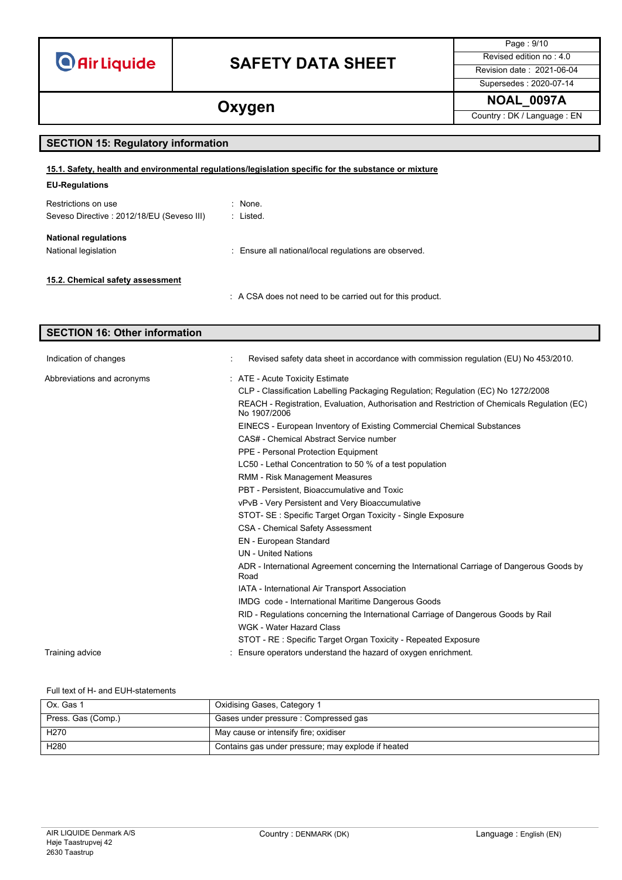|  |  | <b>O</b> Air Liquide |
|--|--|----------------------|
|  |  |                      |

## **SAFETY DATA SHEET** Revised edition no : 4.0

Page : 9/10

### Supersedes : 2020-07-14

**Oxygen NOAL\_0097A Country**: DK / Language : EN

### **SECTION 15: Regulatory information**

| <u>15.1. Safety, health and environmental regulations/legislation specific for the substance or mixture</u> |                                                                                                              |  |  |  |
|-------------------------------------------------------------------------------------------------------------|--------------------------------------------------------------------------------------------------------------|--|--|--|
| <b>EU-Regulations</b>                                                                                       |                                                                                                              |  |  |  |
| Restrictions on use<br>Seveso Directive : 2012/18/EU (Seveso III)                                           | : None.<br>: Listed.                                                                                         |  |  |  |
| <b>National regulations</b><br>National legislation                                                         | : Ensure all national/local regulations are observed.                                                        |  |  |  |
| 15.2. Chemical safety assessment                                                                            |                                                                                                              |  |  |  |
|                                                                                                             | : A CSA does not need to be carried out for this product.                                                    |  |  |  |
| <b>SECTION 16: Other information</b>                                                                        |                                                                                                              |  |  |  |
|                                                                                                             |                                                                                                              |  |  |  |
| Indication of changes                                                                                       | Revised safety data sheet in accordance with commission regulation (EU) No 453/2010.<br>÷                    |  |  |  |
| Abbreviations and acronyms                                                                                  | : ATE - Acute Toxicity Estimate                                                                              |  |  |  |
|                                                                                                             | CLP - Classification Labelling Packaging Regulation; Regulation (EC) No 1272/2008                            |  |  |  |
|                                                                                                             | REACH - Registration, Evaluation, Authorisation and Restriction of Chemicals Regulation (EC)<br>No 1907/2006 |  |  |  |
|                                                                                                             | EINECS - European Inventory of Existing Commercial Chemical Substances                                       |  |  |  |
|                                                                                                             | CAS# - Chemical Abstract Service number                                                                      |  |  |  |
|                                                                                                             | <b>PPE - Personal Protection Equipment</b>                                                                   |  |  |  |
|                                                                                                             | LC50 - Lethal Concentration to 50 % of a test population                                                     |  |  |  |
|                                                                                                             | RMM - Risk Management Measures                                                                               |  |  |  |
|                                                                                                             | PBT - Persistent, Bioaccumulative and Toxic                                                                  |  |  |  |
|                                                                                                             | vPvB - Very Persistent and Very Bioaccumulative                                                              |  |  |  |
|                                                                                                             | STOT- SE: Specific Target Organ Toxicity - Single Exposure                                                   |  |  |  |
|                                                                                                             | <b>CSA - Chemical Safety Assessment</b>                                                                      |  |  |  |
|                                                                                                             | EN - European Standard                                                                                       |  |  |  |
|                                                                                                             | <b>UN</b> - United Nations                                                                                   |  |  |  |
|                                                                                                             | ADR - International Agreement concerning the International Carriage of Dangerous Goods by<br>Road            |  |  |  |
|                                                                                                             | IATA - International Air Transport Association                                                               |  |  |  |
|                                                                                                             | IMDG code - International Maritime Dangerous Goods                                                           |  |  |  |
|                                                                                                             | RID - Regulations concerning the International Carriage of Dangerous Goods by Rail                           |  |  |  |
|                                                                                                             | <b>WGK - Water Hazard Class</b>                                                                              |  |  |  |
|                                                                                                             | STOT - RE : Specific Target Organ Toxicity - Repeated Exposure                                               |  |  |  |

Training advice **interpretent in the set of the set of the set of the set of the frame operators** understand the hazard of oxygen enrichment.

#### Full text of H- and EUH-statements

| Ox. Gas 1          | Oxidising Gases, Category 1                        |
|--------------------|----------------------------------------------------|
| Press. Gas (Comp.) | Gases under pressure : Compressed gas              |
| H <sub>270</sub>   | May cause or intensify fire; oxidiser              |
| H <sub>280</sub>   | Contains gas under pressure; may explode if heated |